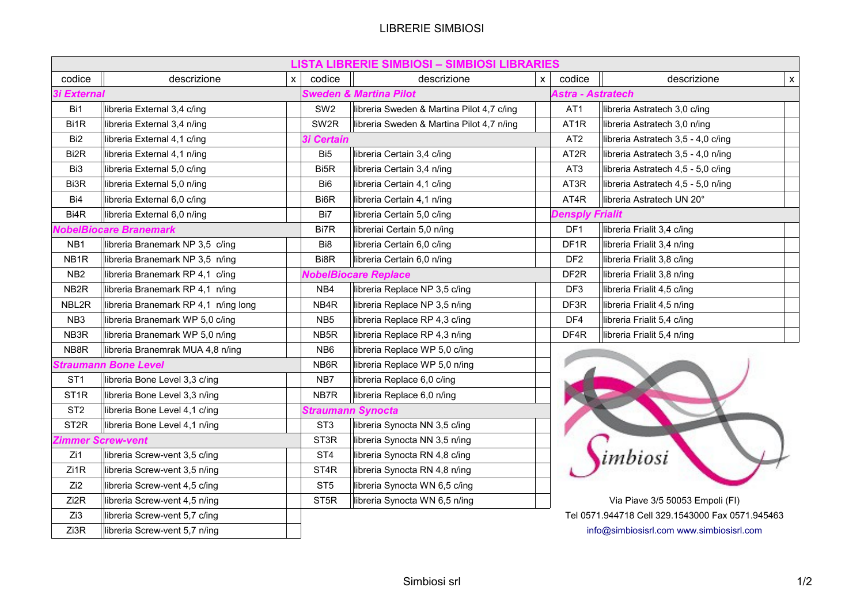## LIBRERIE SIMBIOSI

|                             |                                      |          |                                   | <b>LISTA LIBRERIE SIMBIOSI - SIMBIOSI LIBRARIES</b> |              |                        |                                                  |                    |
|-----------------------------|--------------------------------------|----------|-----------------------------------|-----------------------------------------------------|--------------|------------------------|--------------------------------------------------|--------------------|
| codice                      | descrizione                          | <b>X</b> | codice                            | descrizione                                         | $\mathsf{x}$ | codice                 | descrizione                                      | $\pmb{\mathsf{X}}$ |
| <b>3i External</b>          |                                      |          | <b>Sweden &amp; Martina Pilot</b> | <b>Astra - Astratech</b>                            |              |                        |                                                  |                    |
| Bi1                         | libreria External 3,4 c/ing          |          | SW <sub>2</sub>                   | libreria Sweden & Martina Pilot 4,7 c/ing           |              | AT <sub>1</sub>        | libreria Astratech 3,0 c/ing                     |                    |
| Bi1R                        | libreria External 3,4 n/ing          |          | SW <sub>2R</sub>                  | libreria Sweden & Martina Pilot 4,7 n/ing           |              | AT <sub>1</sub> R      | libreria Astratech 3,0 n/ing                     |                    |
| Bi <sub>2</sub>             | libreria External 4,1 c/ing          |          | <b>3i Certain</b>                 |                                                     |              | AT <sub>2</sub>        | libreria Astratech 3,5 - 4,0 c/ing               |                    |
| Bi <sub>2R</sub>            | libreria External 4,1 n/ing          |          | Bi <sub>5</sub>                   | libreria Certain 3,4 c/ing                          |              | AT <sub>2</sub> R      | libreria Astratech 3,5 - 4,0 n/ing               |                    |
| Bi <sub>3</sub>             | libreria External 5,0 c/ing          |          | Bi <sub>5</sub> R                 | libreria Certain 3,4 n/ing                          |              | AT <sub>3</sub>        | libreria Astratech 4,5 - 5,0 c/ing               |                    |
| Bi3R                        | libreria External 5,0 n/ing          |          | Bi <sub>6</sub>                   | libreria Certain 4,1 c/ing                          |              | AT3R                   | libreria Astratech 4,5 - 5,0 n/ing               |                    |
| Bi4                         | libreria External 6,0 c/ing          |          | Bi <sub>6</sub> R                 | libreria Certain 4,1 n/ing                          |              | AT4R                   | libreria Astratech UN 20°                        |                    |
| Bi <sub>4</sub> R           | libreria External 6,0 n/ing          |          | Bi7                               | libreria Certain 5,0 c/ing                          |              | <b>Densply Frialit</b> |                                                  |                    |
|                             | NobelBiocare Branemark               |          | Bi7R                              | libreriai Certain 5,0 n/ing                         |              | DF1                    | libreria Frialit 3,4 c/ing                       |                    |
| NB <sub>1</sub>             | libreria Branemark NP 3,5 c/ing      |          | Bi8                               | libreria Certain 6,0 c/ing                          |              | DF <sub>1R</sub>       | libreria Frialit 3,4 n/ing                       |                    |
| NB <sub>1R</sub>            | libreria Branemark NP 3,5 n/ing      |          | Bi8R                              | libreria Certain 6,0 n/ing                          |              | DF <sub>2</sub>        | libreria Frialit 3,8 c/ing                       |                    |
| NB <sub>2</sub>             | libreria Branemark RP 4,1 c/ing      |          |                                   | <b>NobelBiocare Replace</b>                         |              | DF <sub>2R</sub>       | libreria Frialit 3,8 n/ing                       |                    |
| NB <sub>2R</sub>            | libreria Branemark RP 4,1 n/ing      |          | NB4                               | libreria Replace NP 3,5 c/ing                       |              | DF3                    | libreria Frialit 4,5 c/ing                       |                    |
| NBL2R                       | libreria Branemark RP 4,1 n/ing long |          | NB4R                              | libreria Replace NP 3,5 n/ing                       |              | DF3R                   | libreria Frialit 4,5 n/ing                       |                    |
| NB <sub>3</sub>             | libreria Branemark WP 5,0 c/ing      |          | NB <sub>5</sub>                   | libreria Replace RP 4,3 c/ing                       |              | DF4                    | libreria Frialit 5,4 c/ing                       |                    |
| NB3R                        | libreria Branemark WP 5,0 n/ing      |          | NB <sub>5</sub> R                 | libreria Replace RP 4,3 n/ing                       |              | DF4R                   | libreria Frialit 5,4 n/ing                       |                    |
| NB8R                        | libreria Branemrak MUA 4,8 n/ing     |          | NB <sub>6</sub>                   | libreria Replace WP 5,0 c/ing                       |              |                        |                                                  |                    |
| <b>Straumann Bone Level</b> |                                      |          | NB6R                              | libreria Replace WP 5,0 n/ing                       |              |                        |                                                  |                    |
| ST <sub>1</sub>             | libreria Bone Level 3,3 c/ing        |          | NB7                               | libreria Replace 6,0 c/ing                          |              |                        |                                                  |                    |
| ST <sub>1R</sub>            | libreria Bone Level 3,3 n/ing        |          | NB7R                              | libreria Replace 6,0 n/ing                          |              |                        |                                                  |                    |
| ST <sub>2</sub>             | libreria Bone Level 4,1 c/ing        |          |                                   | Straumann Synocta                                   |              |                        |                                                  |                    |
| ST <sub>2R</sub>            | libreria Bone Level 4,1 n/ing        |          | ST <sub>3</sub>                   | libreria Synocta NN 3,5 c/ing                       |              |                        |                                                  |                    |
|                             | Zimmer Screw-vent                    |          | ST <sub>3R</sub>                  | libreria Synocta NN 3,5 n/ing                       |              |                        |                                                  |                    |
| Zi1                         | libreria Screw-vent 3,5 c/ing        |          | ST <sub>4</sub>                   | libreria Synocta RN 4,8 c/ing                       |              |                        | mbiosi                                           |                    |
| Zi1R                        | libreria Screw-vent 3,5 n/ing        |          | ST <sub>4</sub> R                 | libreria Synocta RN 4,8 n/ing                       |              |                        |                                                  |                    |
| Zi <sub>2</sub>             | libreria Screw-vent 4,5 c/ing        |          | ST <sub>5</sub>                   | libreria Synocta WN 6,5 c/ing                       |              |                        |                                                  |                    |
| Zi2R                        | libreria Screw-vent 4,5 n/ing        |          | ST <sub>5R</sub>                  | libreria Synocta WN 6,5 n/ing                       |              |                        | Via Piave 3/5 50053 Empoli (FI)                  |                    |
| Zi3                         | libreria Screw-vent 5,7 c/ing        |          |                                   |                                                     |              |                        | Tel 0571.944718 Cell 329.1543000 Fax 0571.945463 |                    |
| Zi3R                        | libreria Screw-vent 5,7 n/ing        |          |                                   |                                                     |              |                        | info@simbiosisrl.com www.simbiosisrl.com         |                    |